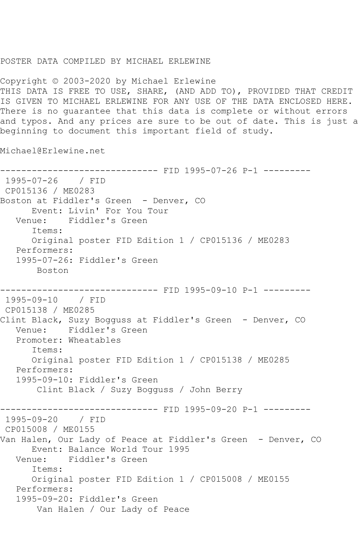## POSTER DATA COMPILED BY MICHAEL ERLEWINE

Copyright © 2003-2020 by Michael Erlewine THIS DATA IS FREE TO USE, SHARE, (AND ADD TO), PROVIDED THAT CREDIT IS GIVEN TO MICHAEL ERLEWINE FOR ANY USE OF THE DATA ENCLOSED HERE. There is no guarantee that this data is complete or without errors and typos. And any prices are sure to be out of date. This is just a beginning to document this important field of study.

Michael@Erlewine.net

------------------------------ FID 1995-07-26 P-1 --------- 1995-07-26 / FID CP015136 / ME0283 Boston at Fiddler's Green - Denver, CO Event: Livin' For You Tour Venue: Fiddler's Green Items: Original poster FID Edition 1 / CP015136 / ME0283 Performers: 1995-07-26: Fiddler's Green Boston ------------------------------ FID 1995-09-10 P-1 --------- 1995-09-10 / FID CP015138 / ME0285 Clint Black, Suzy Bogguss at Fiddler's Green - Denver, CO Venue: Fiddler's Green Promoter: Wheatables Items: Original poster FID Edition 1 / CP015138 / ME0285 Performers: 1995-09-10: Fiddler's Green Clint Black / Suzy Bogguss / John Berry ------------------------------ FID 1995-09-20 P-1 --------- 1995-09-20 / FID CP015008 / ME0155 Van Halen, Our Lady of Peace at Fiddler's Green - Denver, CO Event: Balance World Tour 1995<br>Venue: Fiddler's Green Venue: Fiddler's Green Items: Original poster FID Edition 1 / CP015008 / ME0155 Performers: 1995-09-20: Fiddler's Green Van Halen / Our Lady of Peace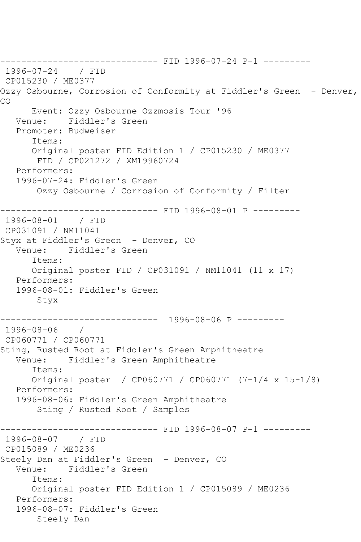------------------------------ FID 1996-07-24 P-1 --------- 1996-07-24 / FID CP015230 / ME0377 Ozzy Osbourne, Corrosion of Conformity at Fiddler's Green - Denver, CO Event: Ozzy Osbourne Ozzmosis Tour '96 Venue: Fiddler's Green Promoter: Budweiser Items: Original poster FID Edition 1 / CP015230 / ME0377 FID / CP021272 / XM19960724 Performers: 1996-07-24: Fiddler's Green Ozzy Osbourne / Corrosion of Conformity / Filter ------------ FID 1996-08-01 P ---------1996-08-01 / FID CP031091 / NM11041 Styx at Fiddler's Green - Denver, CO Venue: Fiddler's Green Items: Original poster FID / CP031091 / NM11041 (11 x 17) Performers: 1996-08-01: Fiddler's Green Styx ------------------------------ 1996-08-06 P --------- 1996-08-06 / CP060771 / CP060771 Sting, Rusted Root at Fiddler's Green Amphitheatre Venue: Fiddler's Green Amphitheatre Items: Original poster / CP060771 / CP060771 (7-1/4 x 15-1/8) Performers: 1996-08-06: Fiddler's Green Amphitheatre Sting / Rusted Root / Samples ------------------------------ FID 1996-08-07 P-1 --------- 1996-08-07 / FID CP015089 / ME0236 Steely Dan at Fiddler's Green - Denver, CO Venue: Fiddler's Green Items: Original poster FID Edition 1 / CP015089 / ME0236 Performers: 1996-08-07: Fiddler's Green Steely Dan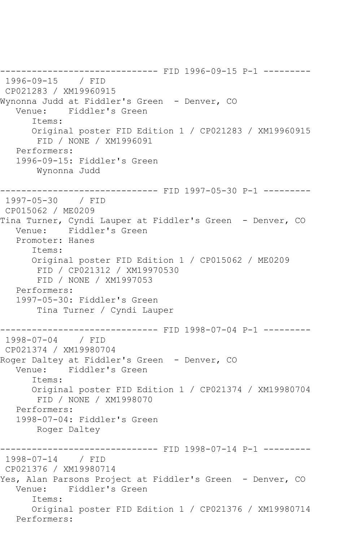------------------------------ FID 1996-09-15 P-1 --------- 1996-09-15 / FID CP021283 / XM19960915 Wynonna Judd at Fiddler's Green - Denver, CO Venue: Fiddler's Green Items: Original poster FID Edition 1 / CP021283 / XM19960915 FID / NONE / XM1996091 Performers: 1996-09-15: Fiddler's Green Wynonna Judd ------------------------------ FID 1997-05-30 P-1 --------- 1997-05-30 / FID CP015062 / ME0209 Tina Turner, Cyndi Lauper at Fiddler's Green - Denver, CO Venue: Fiddler's Green Promoter: Hanes Items: Original poster FID Edition 1 / CP015062 / ME0209 FID / CP021312 / XM19970530 FID / NONE / XM1997053 Performers: 1997-05-30: Fiddler's Green Tina Turner / Cyndi Lauper ---------------- FID 1998-07-04 P-1 ----------<br>/ FID  $1998 - 07 - 04$ CP021374 / XM19980704 Roger Daltey at Fiddler's Green - Denver, CO Venue: Fiddler's Green Items: Original poster FID Edition 1 / CP021374 / XM19980704 FID / NONE / XM1998070 Performers: 1998-07-04: Fiddler's Green Roger Daltey ------------------------------ FID 1998-07-14 P-1 --------- 1998-07-14 / FID CP021376 / XM19980714 Yes, Alan Parsons Project at Fiddler's Green - Denver, CO Venue: Fiddler's Green Items: Original poster FID Edition 1 / CP021376 / XM19980714 Performers: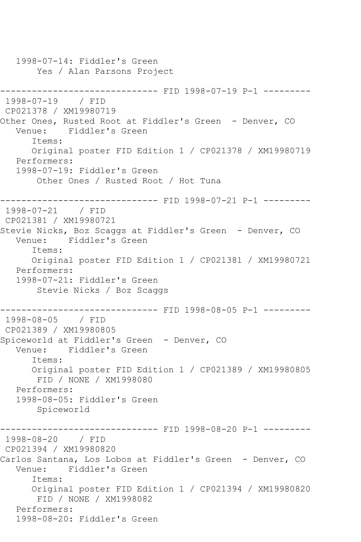1998-07-14: Fiddler's Green Yes / Alan Parsons Project ------------ FID 1998-07-19 P-1 ---------1998-07-19 / FID CP021378 / XM19980719 Other Ones, Rusted Root at Fiddler's Green - Denver, CO Venue: Fiddler's Green Items: Original poster FID Edition 1 / CP021378 / XM19980719 Performers: 1998-07-19: Fiddler's Green Other Ones / Rusted Root / Hot Tuna ------------------------------ FID 1998-07-21 P-1 --------- 1998-07-21 / FID CP021381 / XM19980721 Stevie Nicks, Boz Scaggs at Fiddler's Green - Denver, CO Venue: Fiddler's Green Items: Original poster FID Edition 1 / CP021381 / XM19980721 Performers: 1998-07-21: Fiddler's Green Stevie Nicks / Boz Scaggs ------------------------------ FID 1998-08-05 P-1 --------- 1998-08-05 / FID CP021389 / XM19980805 Spiceworld at Fiddler's Green - Denver, CO Venue: Fiddler's Green Items: Original poster FID Edition 1 / CP021389 / XM19980805 FID / NONE / XM1998080 Performers: 1998-08-05: Fiddler's Green Spiceworld ------------------------------ FID 1998-08-20 P-1 --------- 1998-08-20 / FID CP021394 / XM19980820 Carlos Santana, Los Lobos at Fiddler's Green - Denver, CO Venue: Fiddler's Green Items: Original poster FID Edition 1 / CP021394 / XM19980820 FID / NONE / XM1998082 Performers: 1998-08-20: Fiddler's Green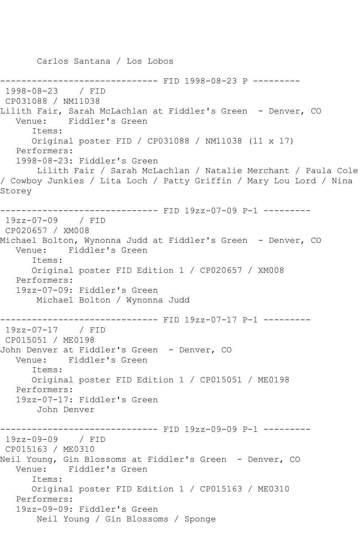Carlos Santana / Los Lobos ------------------------------ FID 1998-08-23 P --------- 1998-08-23 / FID CP031088 / NM11038 Lilith Fair, Sarah McLachlan at Fiddler's Green - Denver, CO Venue: Fiddler's Green Items: Original poster FID / CP031088 / NM11038 (11 x 17) Performers: 1998-08-23: Fiddler's Green Lilith Fair / Sarah McLachlan / Natalie Merchant / Paula Cole / Cowboy Junkies / Lita Loch / Patty Griffin / Mary Lou Lord / Nina Storey ------------------------------ FID 19zz-07-09 P-1 --------- 19zz-07-09 / FID CP020657 / XM008 Michael Bolton, Wynonna Judd at Fiddler's Green - Denver, CO Venue: Fiddler's Green Items: Original poster FID Edition 1 / CP020657 / XM008 Performers: 19zz-07-09: Fiddler's Green Michael Bolton / Wynonna Judd ------------------------------ FID 19zz-07-17 P-1 --------- 19zz-07-17 / FID CP015051 / ME0198 John Denver at Fiddler's Green - Denver, CO Venue: Fiddler's Green Items: Original poster FID Edition 1 / CP015051 / ME0198 Performers: 19zz-07-17: Fiddler's Green John Denver ------------------------------ FID 19zz-09-09 P-1 --------- 19zz-09-09 / FID CP015163 / ME0310 Neil Young, Gin Blossoms at Fiddler's Green - Denver, CO Venue: Fiddler's Green Items: Original poster FID Edition 1 / CP015163 / ME0310 Performers: 19zz-09-09: Fiddler's Green Neil Young / Gin Blossoms / Sponge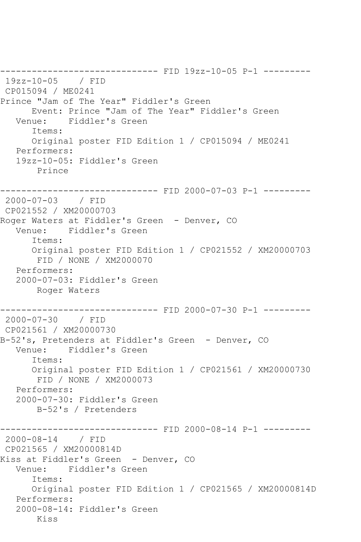------------------------------ FID 19zz-10-05 P-1 --------- 19zz-10-05 / FID CP015094 / ME0241 Prince "Jam of The Year" Fiddler's Green Event: Prince "Jam of The Year" Fiddler's Green Venue: Fiddler's Green Items: Original poster FID Edition 1 / CP015094 / ME0241 Performers: 19zz-10-05: Fiddler's Green Prince ------------------------------ FID 2000-07-03 P-1 --------- 2000-07-03 / FID CP021552 / XM20000703 Roger Waters at Fiddler's Green - Denver, CO Venue: Fiddler's Green Items: Original poster FID Edition 1 / CP021552 / XM20000703 FID / NONE / XM2000070 Performers: 2000-07-03: Fiddler's Green Roger Waters ------------------------------ FID 2000-07-30 P-1 --------- 2000-07-30 / FID CP021561 / XM20000730 B-52's, Pretenders at Fiddler's Green - Denver, CO Venue: Fiddler's Green Items: Original poster FID Edition 1 / CP021561 / XM20000730 FID / NONE / XM2000073 Performers: 2000-07-30: Fiddler's Green B-52's / Pretenders ----------- FID 2000-08-14 P-1 ---------2000-08-14 / FID CP021565 / XM20000814D Kiss at Fiddler's Green - Denver, CO Venue: Fiddler's Green Items: Original poster FID Edition 1 / CP021565 / XM20000814D Performers: 2000-08-14: Fiddler's Green Kiss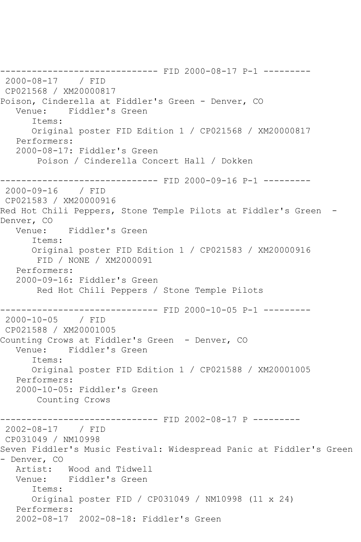------------------------------ FID 2000-08-17 P-1 --------- 2000-08-17 / FID CP021568 / XM20000817 Poison, Cinderella at Fiddler's Green - Denver, CO Venue: Fiddler's Green Items: Original poster FID Edition 1 / CP021568 / XM20000817 Performers: 2000-08-17: Fiddler's Green Poison / Cinderella Concert Hall / Dokken ------------------------------ FID 2000-09-16 P-1 --------- 2000-09-16 / FID CP021583 / XM20000916 Red Hot Chili Peppers, Stone Temple Pilots at Fiddler's Green - Denver, CO Venue: Fiddler's Green Items: Original poster FID Edition 1 / CP021583 / XM20000916 FID / NONE / XM2000091 Performers: 2000-09-16: Fiddler's Green Red Hot Chili Peppers / Stone Temple Pilots ------------------------------ FID 2000-10-05 P-1 --------- 2000-10-05 / FID CP021588 / XM20001005 Counting Crows at Fiddler's Green - Denver, CO<br>Venue: Fiddler's Green Fiddler's Green Items: Original poster FID Edition 1 / CP021588 / XM20001005 Performers: 2000-10-05: Fiddler's Green Counting Crows ------------------------------ FID 2002-08-17 P --------- 2002-08-17 / FID CP031049 / NM10998 Seven Fiddler's Music Festival: Widespread Panic at Fiddler's Green - Denver, CO Artist: Wood and Tidwell Venue: Fiddler's Green Items: Original poster FID / CP031049 / NM10998 (11 x 24) Performers: 2002-08-17 2002-08-18: Fiddler's Green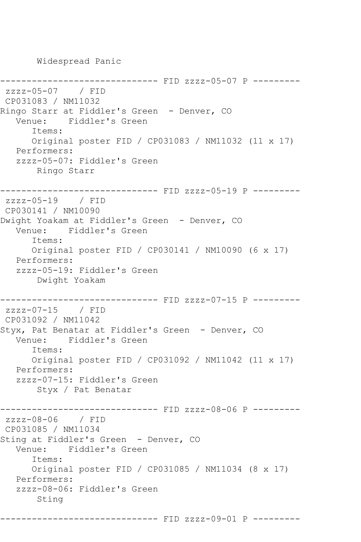-------------- FID zzzz-05-07 P --------zzzz-05-07 / FID CP031083 / NM11032 Ringo Starr at Fiddler's Green - Denver, CO Venue: Fiddler's Green Items: Original poster FID / CP031083 / NM11032 (11 x 17) Performers: zzzz-05-07: Fiddler's Green Ringo Starr ------------------------------ FID zzzz-05-19 P -------- zzzz-05-19 / FID CP030141 / NM10090 Dwight Yoakam at Fiddler's Green - Denver, CO Venue: Fiddler's Green Items: Original poster FID / CP030141 / NM10090 (6 x 17) Performers: zzzz-05-19: Fiddler's Green Dwight Yoakam ------------ FID zzzz-07-15 P --------zzzz-07-15 / FID CP031092 / NM11042 Styx, Pat Benatar at Fiddler's Green - Denver, CO Venue: Fiddler's Green Items: Original poster FID / CP031092 / NM11042 (11 x 17) Performers: zzzz-07-15: Fiddler's Green Styx / Pat Benatar ------------------------------ FID zzzz-08-06 P -------- zzzz-08-06 / FID CP031085 / NM11034 Sting at Fiddler's Green - Denver, CO Venue: Fiddler's Green Items: Original poster FID / CP031085 / NM11034 (8 x 17) Performers: zzzz-08-06: Fiddler's Green Sting

------------------------------ FID zzzz-09-01 P ---------

Widespread Panic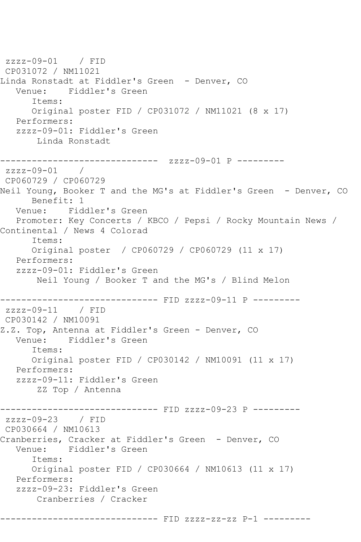zzzz-09-01 / FID CP031072 / NM11021 Linda Ronstadt at Fiddler's Green - Denver, CO Venue: Fiddler's Green Items: Original poster FID / CP031072 / NM11021 (8 x 17) Performers: zzzz-09-01: Fiddler's Green Linda Ronstadt ------------------------------ zzzz-09-01 P -------- zzzz-09-01 / CP060729 / CP060729 Neil Young, Booker T and the MG's at Fiddler's Green - Denver, CO Benefit: 1 Venue: Fiddler's Green Promoter: Key Concerts / KBCO / Pepsi / Rocky Mountain News / Continental / News 4 Colorad Items: Original poster / CP060729 / CP060729 (11 x 17) Performers: zzzz-09-01: Fiddler's Green Neil Young / Booker T and the MG's / Blind Melon ------------------------------ FID zzzz-09-11 P -------- zzzz-09-11 / FID CP030142 / NM10091 Z.Z. Top, Antenna at Fiddler's Green - Denver, CO Venue: Fiddler's Green Items: Original poster FID / CP030142 / NM10091 (11 x 17) Performers: zzzz-09-11: Fiddler's Green ZZ Top / Antenna ------------------------------ FID zzzz-09-23 P -------- zzzz-09-23 / FID CP030664 / NM10613 Cranberries, Cracker at Fiddler's Green – Denver, CO<br>Venue: Fiddler's Green Fiddler's Green Items: Original poster FID / CP030664 / NM10613 (11 x 17) Performers: zzzz-09-23: Fiddler's Green Cranberries / Cracker ------------------------------ FID zzzz-zz-zz P-1 ---------